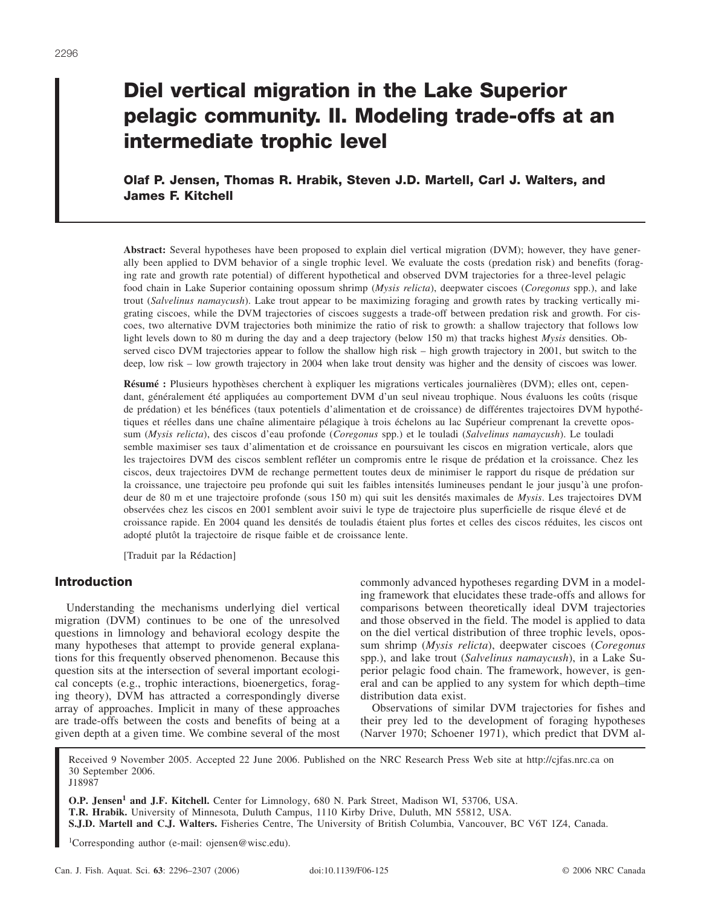# **Diel vertical migration in the Lake Superior pelagic community. II. Modeling trade-offs at an intermediate trophic level**

**Olaf P. Jensen, Thomas R. Hrabik, Steven J.D. Martell, Carl J. Walters, and James F. Kitchell**

**Abstract:** Several hypotheses have been proposed to explain diel vertical migration (DVM); however, they have generally been applied to DVM behavior of a single trophic level. We evaluate the costs (predation risk) and benefits (foraging rate and growth rate potential) of different hypothetical and observed DVM trajectories for a three-level pelagic food chain in Lake Superior containing opossum shrimp (*Mysis relicta*), deepwater ciscoes (*Coregonus* spp.), and lake trout (*Salvelinus namaycush*). Lake trout appear to be maximizing foraging and growth rates by tracking vertically migrating ciscoes, while the DVM trajectories of ciscoes suggests a trade-off between predation risk and growth. For ciscoes, two alternative DVM trajectories both minimize the ratio of risk to growth: a shallow trajectory that follows low light levels down to 80 m during the day and a deep trajectory (below 150 m) that tracks highest *Mysis* densities. Observed cisco DVM trajectories appear to follow the shallow high risk – high growth trajectory in 2001, but switch to the deep, low risk – low growth trajectory in 2004 when lake trout density was higher and the density of ciscoes was lower.

**Résumé :** Plusieurs hypothèses cherchent à expliquer les migrations verticales journalières (DVM); elles ont, cependant, généralement été appliquées au comportement DVM d'un seul niveau trophique. Nous évaluons les coûts (risque de prédation) et les bénéfices (taux potentiels d'alimentation et de croissance) de différentes trajectoires DVM hypothétiques et réelles dans une chaîne alimentaire pélagique à trois échelons au lac Supérieur comprenant la crevette opossum (*Mysis relicta*), des ciscos d'eau profonde (*Coregonus* spp.) et le touladi (*Salvelinus namaycush*). Le touladi semble maximiser ses taux d'alimentation et de croissance en poursuivant les ciscos en migration verticale, alors que les trajectoires DVM des ciscos semblent refléter un compromis entre le risque de prédation et la croissance. Chez les ciscos, deux trajectoires DVM de rechange permettent toutes deux de minimiser le rapport du risque de prédation sur la croissance, une trajectoire peu profonde qui suit les faibles intensités lumineuses pendant le jour jusqu'à une profondeur de 80 m et une trajectoire profonde (sous 150 m) qui suit les densités maximales de *Mysis*. Les trajectoires DVM observées chez les ciscos en 2001 semblent avoir suivi le type de trajectoire plus superficielle de risque élevé et de croissance rapide. En 2004 quand les densités de touladis étaient plus fortes et celles des ciscos réduites, les ciscos ont adopté plutôt la trajectoire de risque faible et de croissance lente.

[Traduit par la Rédaction]

# **Introduction**

Understanding the mechanisms underlying diel vertical migration (DVM) continues to be one of the unresolved questions in limnology and behavioral ecology despite the many hypotheses that attempt to provide general explanations for this frequently observed phenomenon. Because this question sits at the intersection of several important ecological concepts (e.g., trophic interactions, bioenergetics, foraging theory), DVM has attracted a correspondingly diverse array of approaches. Implicit in many of these approaches are trade-offs between the costs and benefits of being at a given depth at a given time. We combine several of the most commonly advanced hypotheses regarding DVM in a modeling framework that elucidates these trade-offs and allows for comparisons between theoretically ideal DVM trajectories and those observed in the field. The model is applied to data on the diel vertical distribution of three trophic levels, opossum shrimp (*Mysis relicta*), deepwater ciscoes (*Coregonus* spp.), and lake trout (*Salvelinus namaycush*), in a Lake Superior pelagic food chain. The framework, however, is general and can be applied to any system for which depth–time distribution data exist.

Observations of similar DVM trajectories for fishes and their prey led to the development of foraging hypotheses (Narver 1970; Schoener 1971), which predict that DVM al-

Received 9 November 2005. Accepted 22 June 2006. Published on the NRC Research Press Web site at http://cjfas.nrc.ca on 30 September 2006. J18987

**O.P. Jensen<sup>1</sup> and J.F. Kitchell.** Center for Limnology, 680 N. Park Street, Madison WI, 53706, USA. **T.R. Hrabik.** University of Minnesota, Duluth Campus, 1110 Kirby Drive, Duluth, MN 55812, USA. **S.J.D. Martell and C.J. Walters.** Fisheries Centre, The University of British Columbia, Vancouver, BC V6T 1Z4, Canada.

1 Corresponding author (e-mail: ojensen@wisc.edu).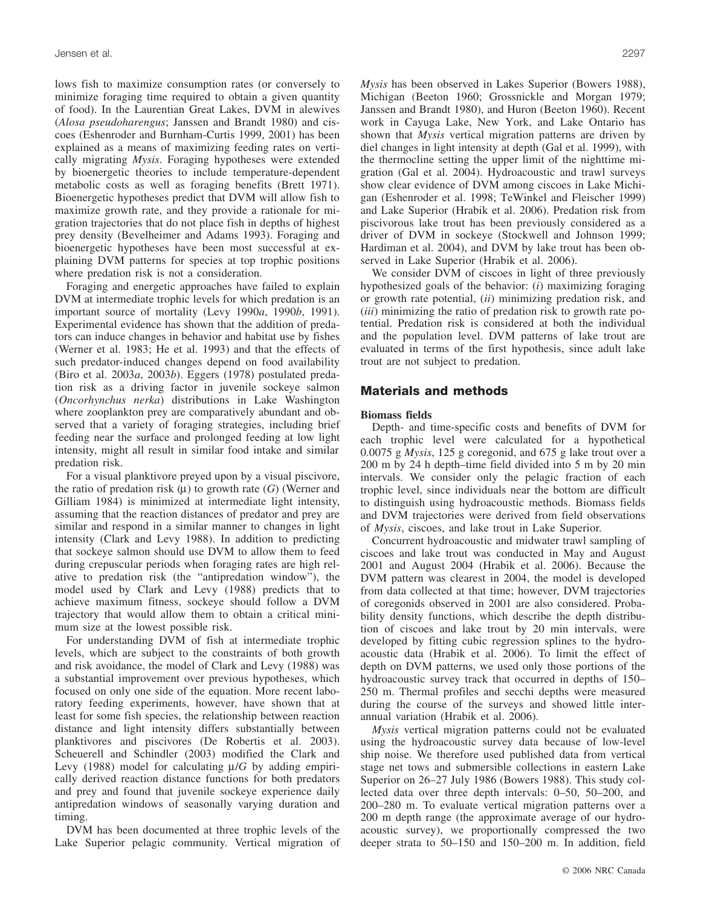lows fish to maximize consumption rates (or conversely to minimize foraging time required to obtain a given quantity of food). In the Laurentian Great Lakes, DVM in alewives (*Alosa pseudoharengus*; Janssen and Brandt 1980) and ciscoes (Eshenroder and Burnham-Curtis 1999, 2001) has been explained as a means of maximizing feeding rates on vertically migrating *Mysis*. Foraging hypotheses were extended by bioenergetic theories to include temperature-dependent metabolic costs as well as foraging benefits (Brett 1971). Bioenergetic hypotheses predict that DVM will allow fish to maximize growth rate, and they provide a rationale for migration trajectories that do not place fish in depths of highest prey density (Bevelheimer and Adams 1993). Foraging and bioenergetic hypotheses have been most successful at explaining DVM patterns for species at top trophic positions where predation risk is not a consideration.

Foraging and energetic approaches have failed to explain DVM at intermediate trophic levels for which predation is an important source of mortality (Levy 1990*a*, 1990*b*, 1991). Experimental evidence has shown that the addition of predators can induce changes in behavior and habitat use by fishes (Werner et al. 1983; He et al. 1993) and that the effects of such predator-induced changes depend on food availability (Biro et al. 2003*a*, 2003*b*). Eggers (1978) postulated predation risk as a driving factor in juvenile sockeye salmon (*Oncorhynchus nerka*) distributions in Lake Washington where zooplankton prey are comparatively abundant and observed that a variety of foraging strategies, including brief feeding near the surface and prolonged feeding at low light intensity, might all result in similar food intake and similar predation risk.

For a visual planktivore preyed upon by a visual piscivore, the ratio of predation risk  $(\mu)$  to growth rate  $(G)$  (Werner and Gilliam 1984) is minimized at intermediate light intensity, assuming that the reaction distances of predator and prey are similar and respond in a similar manner to changes in light intensity (Clark and Levy 1988). In addition to predicting that sockeye salmon should use DVM to allow them to feed during crepuscular periods when foraging rates are high relative to predation risk (the "antipredation window"), the model used by Clark and Levy (1988) predicts that to achieve maximum fitness, sockeye should follow a DVM trajectory that would allow them to obtain a critical minimum size at the lowest possible risk.

For understanding DVM of fish at intermediate trophic levels, which are subject to the constraints of both growth and risk avoidance, the model of Clark and Levy (1988) was a substantial improvement over previous hypotheses, which focused on only one side of the equation. More recent laboratory feeding experiments, however, have shown that at least for some fish species, the relationship between reaction distance and light intensity differs substantially between planktivores and piscivores (De Robertis et al. 2003). Scheuerell and Schindler (2003) modified the Clark and Levy (1988) model for calculating µ/*G* by adding empirically derived reaction distance functions for both predators and prey and found that juvenile sockeye experience daily antipredation windows of seasonally varying duration and timing.

DVM has been documented at three trophic levels of the Lake Superior pelagic community. Vertical migration of *Mysis* has been observed in Lakes Superior (Bowers 1988), Michigan (Beeton 1960; Grossnickle and Morgan 1979; Janssen and Brandt 1980), and Huron (Beeton 1960). Recent work in Cayuga Lake, New York, and Lake Ontario has shown that *Mysis* vertical migration patterns are driven by diel changes in light intensity at depth (Gal et al. 1999), with the thermocline setting the upper limit of the nighttime migration (Gal et al. 2004). Hydroacoustic and trawl surveys show clear evidence of DVM among ciscoes in Lake Michigan (Eshenroder et al. 1998; TeWinkel and Fleischer 1999) and Lake Superior (Hrabik et al. 2006). Predation risk from piscivorous lake trout has been previously considered as a driver of DVM in sockeye (Stockwell and Johnson 1999; Hardiman et al. 2004), and DVM by lake trout has been observed in Lake Superior (Hrabik et al. 2006).

We consider DVM of ciscoes in light of three previously hypothesized goals of the behavior: (*i*) maximizing foraging or growth rate potential, (*ii*) minimizing predation risk, and (*iii*) minimizing the ratio of predation risk to growth rate potential. Predation risk is considered at both the individual and the population level. DVM patterns of lake trout are evaluated in terms of the first hypothesis, since adult lake trout are not subject to predation.

## **Materials and methods**

### **Biomass fields**

Depth- and time-specific costs and benefits of DVM for each trophic level were calculated for a hypothetical 0.0075 g *Mysis*, 125 g coregonid, and 675 g lake trout over a 200 m by 24 h depth–time field divided into 5 m by 20 min intervals. We consider only the pelagic fraction of each trophic level, since individuals near the bottom are difficult to distinguish using hydroacoustic methods. Biomass fields and DVM trajectories were derived from field observations of *Mysis*, ciscoes, and lake trout in Lake Superior.

Concurrent hydroacoustic and midwater trawl sampling of ciscoes and lake trout was conducted in May and August 2001 and August 2004 (Hrabik et al. 2006). Because the DVM pattern was clearest in 2004, the model is developed from data collected at that time; however, DVM trajectories of coregonids observed in 2001 are also considered. Probability density functions, which describe the depth distribution of ciscoes and lake trout by 20 min intervals, were developed by fitting cubic regression splines to the hydroacoustic data (Hrabik et al. 2006). To limit the effect of depth on DVM patterns, we used only those portions of the hydroacoustic survey track that occurred in depths of 150– 250 m. Thermal profiles and secchi depths were measured during the course of the surveys and showed little interannual variation (Hrabik et al. 2006).

*Mysis* vertical migration patterns could not be evaluated using the hydroacoustic survey data because of low-level ship noise. We therefore used published data from vertical stage net tows and submersible collections in eastern Lake Superior on 26–27 July 1986 (Bowers 1988). This study collected data over three depth intervals: 0–50, 50–200, and 200–280 m. To evaluate vertical migration patterns over a 200 m depth range (the approximate average of our hydroacoustic survey), we proportionally compressed the two deeper strata to 50–150 and 150–200 m. In addition, field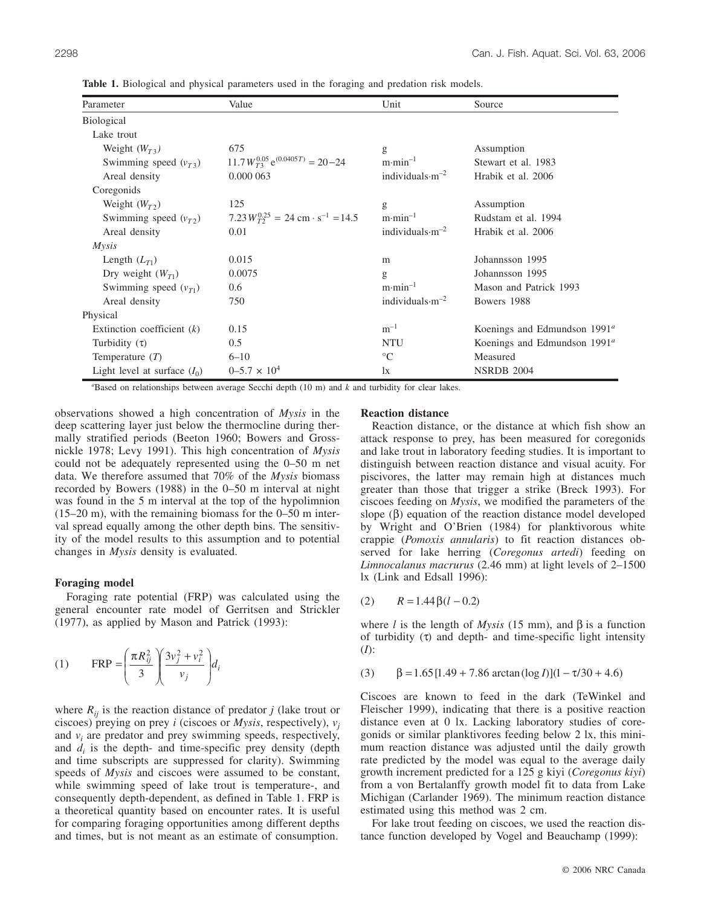| Parameter                      | Value                                                           | Unit                                | Source                                   |
|--------------------------------|-----------------------------------------------------------------|-------------------------------------|------------------------------------------|
| <b>Biological</b>              |                                                                 |                                     |                                          |
| Lake trout                     |                                                                 |                                     |                                          |
| Weight $(W_{T3})$              | 675                                                             | g                                   | Assumption                               |
| Swimming speed $(v_{T3})$      | $11.7 W_{T3}^{0.05} e^{(0.0405T)} = 20 - 24$                    | $m \cdot min^{-1}$                  | Stewart et al. 1983                      |
| Areal density                  | 0.000 063                                                       | individuals $\cdot$ m <sup>-2</sup> | Hrabik et al. 2006                       |
| Coregonids                     |                                                                 |                                     |                                          |
| Weight $(W_T)$                 | 125                                                             | g                                   | Assumption                               |
| Swimming speed $(v_{T2})$      | $7.23 W_{T2}^{0.25} = 24 \text{ cm} \cdot \text{s}^{-1} = 14.5$ | $m \cdot min^{-1}$                  | Rudstam et al. 1994                      |
| Areal density                  | 0.01                                                            | individuals $\cdot$ m <sup>-2</sup> | Hrabik et al. 2006                       |
| <i>Mysis</i>                   |                                                                 |                                     |                                          |
| Length $(L_{T1})$              | 0.015                                                           | m                                   | Johannsson 1995                          |
| Dry weight $(W_{T1})$          | 0.0075                                                          | g                                   | Johannsson 1995                          |
| Swimming speed $(v_{T1})$      | 0.6                                                             | $m \cdot min^{-1}$                  | Mason and Patrick 1993                   |
| Areal density                  | 750                                                             | individuals $\cdot$ m <sup>-2</sup> | Bowers 1988                              |
| Physical                       |                                                                 |                                     |                                          |
| Extinction coefficient $(k)$   | 0.15                                                            | $m^{-1}$                            | Koenings and Edmundson $1991^a$          |
| Turbidity $(\tau)$             | 0.5                                                             | <b>NTU</b>                          | Koenings and Edmundson 1991 <sup>a</sup> |
| Temperature $(T)$              | $6 - 10$                                                        | $^{\circ}{\rm C}$                   | Measured                                 |
| Light level at surface $(I_0)$ | $0 - 5.7 \times 10^4$                                           | $\mathbf{I}$                        | <b>NSRDB 2004</b>                        |

**Table 1.** Biological and physical parameters used in the foraging and predation risk models.

*a* Based on relationships between average Secchi depth (10 m) and *k* and turbidity for clear lakes.

observations showed a high concentration of *Mysis* in the deep scattering layer just below the thermocline during thermally stratified periods (Beeton 1960; Bowers and Grossnickle 1978; Levy 1991). This high concentration of *Mysis* could not be adequately represented using the 0–50 m net data. We therefore assumed that 70% of the *Mysis* biomass recorded by Bowers (1988) in the 0–50 m interval at night was found in the 5 m interval at the top of the hypolimnion (15–20 m), with the remaining biomass for the 0–50 m interval spread equally among the other depth bins. The sensitivity of the model results to this assumption and to potential changes in *Mysis* density is evaluated.

## **Foraging model**

Foraging rate potential (FRP) was calculated using the general encounter rate model of Gerritsen and Strickler (1977), as applied by Mason and Patrick (1993):

$$
(1) \qquad \text{FRP} = \left(\frac{\pi R_{ij}^2}{3}\right) \left(\frac{3v_j^2 + v_i^2}{v_j}\right) d_i
$$

where  $R_{ij}$  is the reaction distance of predator *j* (lake trout or ciscoes) preying on prey *i* (ciscoes or *Mysis*, respectively),  $v_j$ and  $v_i$  are predator and prey swimming speeds, respectively, and  $d_i$  is the depth- and time-specific prey density (depth and time subscripts are suppressed for clarity). Swimming speeds of *Mysis* and ciscoes were assumed to be constant, while swimming speed of lake trout is temperature-, and consequently depth-dependent, as defined in Table 1. FRP is a theoretical quantity based on encounter rates. It is useful for comparing foraging opportunities among different depths and times, but is not meant as an estimate of consumption.

### **Reaction distance**

Reaction distance, or the distance at which fish show an attack response to prey, has been measured for coregonids and lake trout in laboratory feeding studies. It is important to distinguish between reaction distance and visual acuity. For piscivores, the latter may remain high at distances much greater than those that trigger a strike (Breck 1993). For ciscoes feeding on *Mysis*, we modified the parameters of the slope (β) equation of the reaction distance model developed by Wright and O'Brien (1984) for planktivorous white crappie (*Pomoxis annularis*) to fit reaction distances observed for lake herring (*Coregonus artedi*) feeding on *Limnocalanus macrurus* (2.46 mm) at light levels of 2–1500 lx (Link and Edsall 1996):

(2) 
$$
R = 1.44 \beta (l - 0.2)
$$

where *l* is the length of *Mysis* (15 mm), and β is a function of turbidity  $(τ)$  and depth- and time-specific light intensity (*I*):

(3) 
$$
\beta = 1.65[1.49 + 7.86 \arctan(\log I)](1 - \tau/30 + 4.6)
$$

Ciscoes are known to feed in the dark (TeWinkel and Fleischer 1999), indicating that there is a positive reaction distance even at 0 lx. Lacking laboratory studies of coregonids or similar planktivores feeding below 2 lx, this minimum reaction distance was adjusted until the daily growth rate predicted by the model was equal to the average daily growth increment predicted for a 125 g kiyi (*Coregonus kiyi*) from a von Bertalanffy growth model fit to data from Lake Michigan (Carlander 1969). The minimum reaction distance estimated using this method was 2 cm.

For lake trout feeding on ciscoes, we used the reaction distance function developed by Vogel and Beauchamp (1999):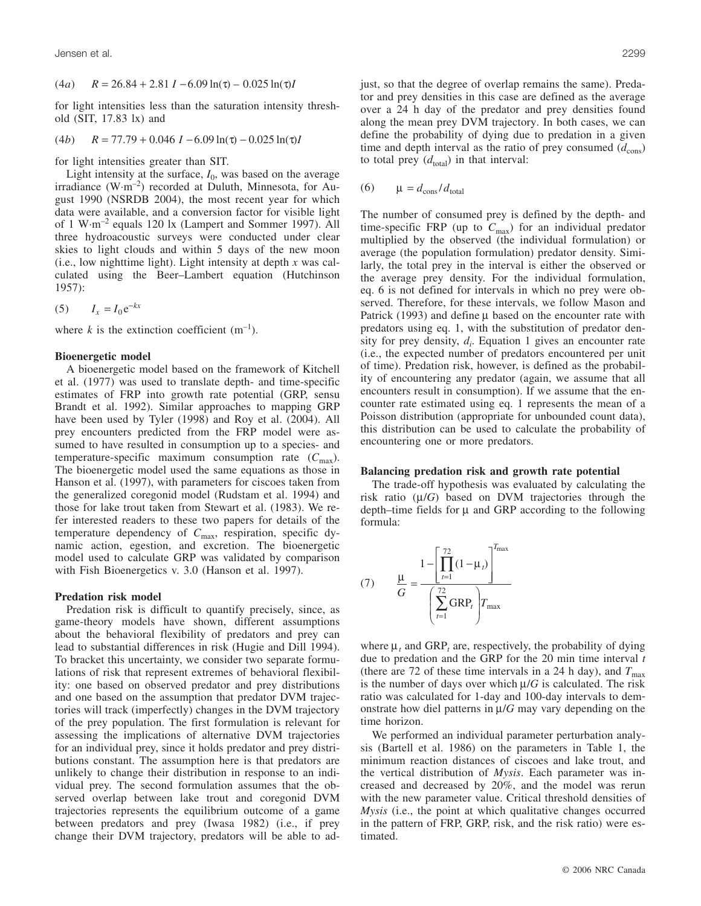(4*a*)  $R = 26.84 + 2.81 I - 6.09 \ln(\tau) - 0.025 \ln(\tau) I$ 

for light intensities less than the saturation intensity threshold (SIT, 17.83 lx) and

(4b) 
$$
R = 77.79 + 0.046 I - 6.09 \ln(\tau) - 0.025 \ln(\tau)I
$$

for light intensities greater than SIT.

Light intensity at the surface,  $I_0$ , was based on the average irradiance  $(W \cdot m^{-2})$  recorded at Duluth, Minnesota, for August 1990 (NSRDB 2004), the most recent year for which data were available, and a conversion factor for visible light of 1 W·m–2 equals 120 lx (Lampert and Sommer 1997). All three hydroacoustic surveys were conducted under clear skies to light clouds and within 5 days of the new moon (i.e., low nighttime light). Light intensity at depth *x* was calculated using the Beer–Lambert equation (Hutchinson 1957):

$$
(5) \qquad I_x = I_0 e^{-kx}
$$

where  $k$  is the extinction coefficient  $(m^{-1})$ .

## **Bioenergetic model**

A bioenergetic model based on the framework of Kitchell et al. (1977) was used to translate depth- and time-specific estimates of FRP into growth rate potential (GRP, sensu Brandt et al. 1992). Similar approaches to mapping GRP have been used by Tyler (1998) and Roy et al. (2004). All prey encounters predicted from the FRP model were assumed to have resulted in consumption up to a species- and temperature-specific maximum consumption rate  $(C_{\text{max}})$ . The bioenergetic model used the same equations as those in Hanson et al. (1997), with parameters for ciscoes taken from the generalized coregonid model (Rudstam et al. 1994) and those for lake trout taken from Stewart et al. (1983). We refer interested readers to these two papers for details of the temperature dependency of  $C_{\text{max}}$ , respiration, specific dynamic action, egestion, and excretion. The bioenergetic model used to calculate GRP was validated by comparison with Fish Bioenergetics v. 3.0 (Hanson et al. 1997).

#### **Predation risk model**

Predation risk is difficult to quantify precisely, since, as game-theory models have shown, different assumptions about the behavioral flexibility of predators and prey can lead to substantial differences in risk (Hugie and Dill 1994). To bracket this uncertainty, we consider two separate formulations of risk that represent extremes of behavioral flexibility: one based on observed predator and prey distributions and one based on the assumption that predator DVM trajectories will track (imperfectly) changes in the DVM trajectory of the prey population. The first formulation is relevant for assessing the implications of alternative DVM trajectories for an individual prey, since it holds predator and prey distributions constant. The assumption here is that predators are unlikely to change their distribution in response to an individual prey. The second formulation assumes that the observed overlap between lake trout and coregonid DVM trajectories represents the equilibrium outcome of a game between predators and prey (Iwasa 1982) (i.e., if prey change their DVM trajectory, predators will be able to adjust, so that the degree of overlap remains the same). Predator and prey densities in this case are defined as the average over a 24 h day of the predator and prey densities found along the mean prey DVM trajectory. In both cases, we can define the probability of dying due to predation in a given time and depth interval as the ratio of prey consumed  $(d_{\text{cons}})$ to total prey  $(d_{total})$  in that interval:

$$
(6) \qquad \mu = d_{\text{cons}}/d_{\text{total}}
$$

The number of consumed prey is defined by the depth- and time-specific FRP (up to *C*max) for an individual predator multiplied by the observed (the individual formulation) or average (the population formulation) predator density. Similarly, the total prey in the interval is either the observed or the average prey density. For the individual formulation, eq. 6 is not defined for intervals in which no prey were observed. Therefore, for these intervals, we follow Mason and Patrick (1993) and define  $\mu$  based on the encounter rate with predators using eq. 1, with the substitution of predator density for prey density,  $d_i$ . Equation 1 gives an encounter rate (i.e., the expected number of predators encountered per unit of time). Predation risk, however, is defined as the probability of encountering any predator (again, we assume that all encounters result in consumption). If we assume that the encounter rate estimated using eq. 1 represents the mean of a Poisson distribution (appropriate for unbounded count data), this distribution can be used to calculate the probability of encountering one or more predators.

### **Balancing predation risk and growth rate potential**

The trade-off hypothesis was evaluated by calculating the risk ratio  $(\mu/G)$  based on DVM trajectories through the depth–time fields for  $\mu$  and GRP according to the following formula:

(7) 
$$
\frac{\mu}{G} = \frac{1 - \left[ \prod_{t=1}^{72} (1 - \mu_t) \right]^{T_{\text{max}}}}{\left( \sum_{t=1}^{72} \text{GRP}_t \right) T_{\text{max}}}
$$

where  $\mu$ , and GRP, are, respectively, the probability of dying due to predation and the GRP for the 20 min time interval *t* (there are 72 of these time intervals in a 24 h day), and  $T_{\text{max}}$ is the number of days over which  $\mu/G$  is calculated. The risk ratio was calculated for 1-day and 100-day intervals to demonstrate how diel patterns in µ/*G* may vary depending on the time horizon.

We performed an individual parameter perturbation analysis (Bartell et al. 1986) on the parameters in Table 1, the minimum reaction distances of ciscoes and lake trout, and the vertical distribution of *Mysis*. Each parameter was increased and decreased by 20%, and the model was rerun with the new parameter value. Critical threshold densities of *Mysis* (i.e., the point at which qualitative changes occurred in the pattern of FRP, GRP, risk, and the risk ratio) were estimated.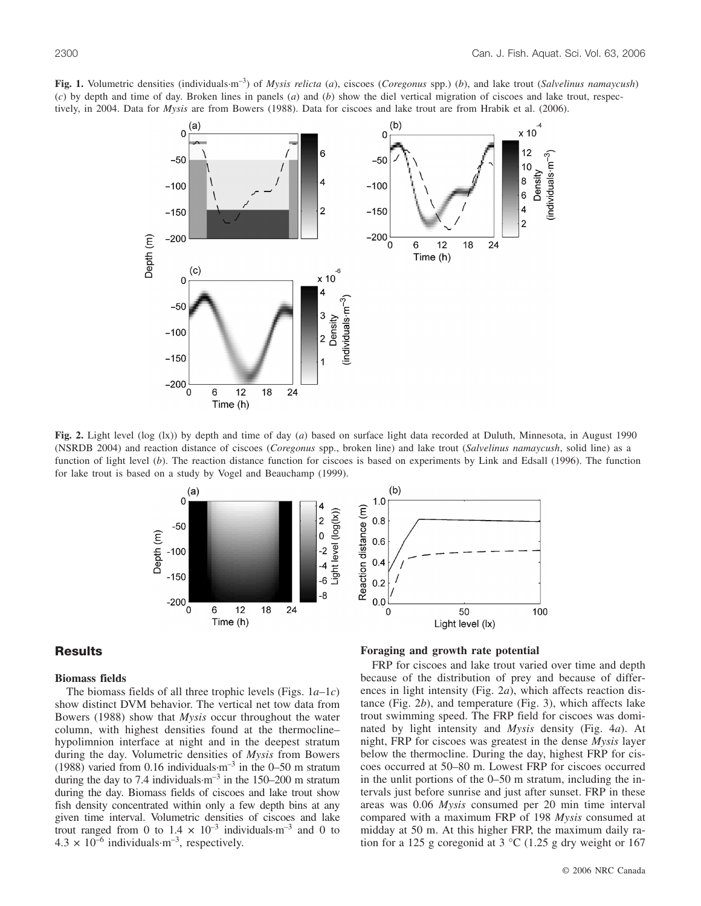

**Fig. 2.** Light level (log (lx)) by depth and time of day (*a*) based on surface light data recorded at Duluth, Minnesota, in August 1990 (NSRDB 2004) and reaction distance of ciscoes (*Coregonus* spp., broken line) and lake trout (*Salvelinus namaycush*, solid line) as a function of light level (*b*). The reaction distance function for ciscoes is based on experiments by Link and Edsall (1996). The function for lake trout is based on a study by Vogel and Beauchamp (1999).



## **Results**

## **Biomass fields**

The biomass fields of all three trophic levels (Figs. 1*a*–1*c*) show distinct DVM behavior. The vertical net tow data from Bowers (1988) show that *Mysis* occur throughout the water column, with highest densities found at the thermocline– hypolimnion interface at night and in the deepest stratum during the day. Volumetric densities of *Mysis* from Bowers (1988) varied from 0.16 individuals  $m^{-3}$  in the 0–50 m stratum during the day to 7.4 individuals $\text{m}^{-3}$  in the 150–200 m stratum during the day. Biomass fields of ciscoes and lake trout show fish density concentrated within only a few depth bins at any given time interval. Volumetric densities of ciscoes and lake trout ranged from 0 to  $1.4 \times 10^{-3}$  individuals $\cdot$ m<sup>-3</sup> and 0 to  $4.3 \times 10^{-6}$  individuals $\cdot$ m<sup>-3</sup>, respectively.



FRP for ciscoes and lake trout varied over time and depth because of the distribution of prey and because of differences in light intensity (Fig. 2*a*), which affects reaction distance (Fig. 2*b*), and temperature (Fig. 3), which affects lake trout swimming speed. The FRP field for ciscoes was dominated by light intensity and *Mysis* density (Fig. 4*a*). At night, FRP for ciscoes was greatest in the dense *Mysis* layer below the thermocline. During the day, highest FRP for ciscoes occurred at 50–80 m. Lowest FRP for ciscoes occurred in the unlit portions of the 0–50 m stratum, including the intervals just before sunrise and just after sunset. FRP in these areas was 0.06 *Mysis* consumed per 20 min time interval compared with a maximum FRP of 198 *Mysis* consumed at midday at 50 m. At this higher FRP, the maximum daily ration for a 125 g coregonid at 3 °C (1.25 g dry weight or 167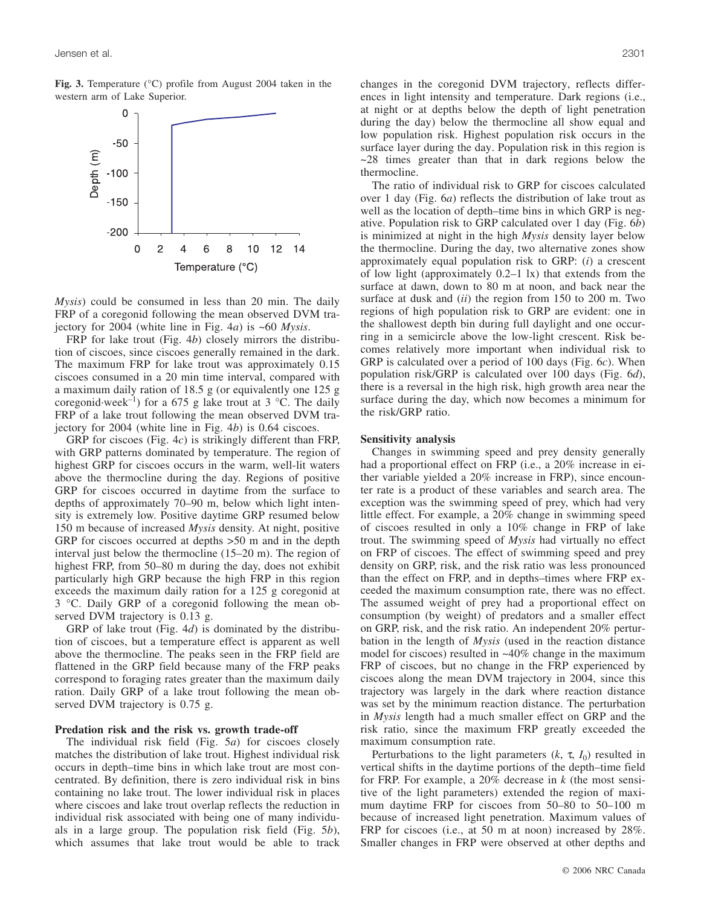**Fig. 3.** Temperature (°C) profile from August 2004 taken in the western arm of Lake Superior.



*Mysis*) could be consumed in less than 20 min. The daily FRP of a coregonid following the mean observed DVM trajectory for 2004 (white line in Fig. 4*a*) is ~60 *Mysis*.

FRP for lake trout (Fig. 4*b*) closely mirrors the distribution of ciscoes, since ciscoes generally remained in the dark. The maximum FRP for lake trout was approximately 0.15 ciscoes consumed in a 20 min time interval, compared with a maximum daily ration of 18.5 g (or equivalently one 125 g coregonid-week<sup>-1</sup>) for a 675 g lake trout at 3 °C. The daily FRP of a lake trout following the mean observed DVM trajectory for 2004 (white line in Fig. 4*b*) is 0.64 ciscoes.

GRP for ciscoes (Fig. 4*c*) is strikingly different than FRP, with GRP patterns dominated by temperature. The region of highest GRP for ciscoes occurs in the warm, well-lit waters above the thermocline during the day. Regions of positive GRP for ciscoes occurred in daytime from the surface to depths of approximately 70–90 m, below which light intensity is extremely low. Positive daytime GRP resumed below 150 m because of increased *Mysis* density. At night, positive GRP for ciscoes occurred at depths  $>50$  m and in the depth interval just below the thermocline (15–20 m). The region of highest FRP, from 50–80 m during the day, does not exhibit particularly high GRP because the high FRP in this region exceeds the maximum daily ration for a 125 g coregonid at 3 °C. Daily GRP of a coregonid following the mean observed DVM trajectory is 0.13 g.

GRP of lake trout (Fig. 4*d*) is dominated by the distribution of ciscoes, but a temperature effect is apparent as well above the thermocline. The peaks seen in the FRP field are flattened in the GRP field because many of the FRP peaks correspond to foraging rates greater than the maximum daily ration. Daily GRP of a lake trout following the mean observed DVM trajectory is 0.75 g.

## **Predation risk and the risk vs. growth trade-off**

The individual risk field (Fig. 5*a*) for ciscoes closely matches the distribution of lake trout. Highest individual risk occurs in depth–time bins in which lake trout are most concentrated. By definition, there is zero individual risk in bins containing no lake trout. The lower individual risk in places where ciscoes and lake trout overlap reflects the reduction in individual risk associated with being one of many individuals in a large group. The population risk field (Fig. 5*b*), which assumes that lake trout would be able to track changes in the coregonid DVM trajectory, reflects differences in light intensity and temperature. Dark regions (i.e., at night or at depths below the depth of light penetration during the day) below the thermocline all show equal and low population risk. Highest population risk occurs in the surface layer during the day. Population risk in this region is  $\sim$ 28 times greater than that in dark regions below the thermocline.

The ratio of individual risk to GRP for ciscoes calculated over 1 day (Fig. 6*a*) reflects the distribution of lake trout as well as the location of depth–time bins in which GRP is negative. Population risk to GRP calculated over 1 day (Fig. 6*b*) is minimized at night in the high *Mysis* density layer below the thermocline. During the day, two alternative zones show approximately equal population risk to GRP: (*i*) a crescent of low light (approximately 0.2–1 lx) that extends from the surface at dawn, down to 80 m at noon, and back near the surface at dusk and (*ii*) the region from 150 to 200 m. Two regions of high population risk to GRP are evident: one in the shallowest depth bin during full daylight and one occurring in a semicircle above the low-light crescent. Risk becomes relatively more important when individual risk to GRP is calculated over a period of 100 days (Fig. 6*c*). When population risk/GRP is calculated over 100 days (Fig. 6*d*), there is a reversal in the high risk, high growth area near the surface during the day, which now becomes a minimum for the risk/GRP ratio.

#### **Sensitivity analysis**

Changes in swimming speed and prey density generally had a proportional effect on FRP (i.e., a 20% increase in either variable yielded a 20% increase in FRP), since encounter rate is a product of these variables and search area. The exception was the swimming speed of prey, which had very little effect. For example, a 20% change in swimming speed of ciscoes resulted in only a 10% change in FRP of lake trout. The swimming speed of *Mysis* had virtually no effect on FRP of ciscoes. The effect of swimming speed and prey density on GRP, risk, and the risk ratio was less pronounced than the effect on FRP, and in depths–times where FRP exceeded the maximum consumption rate, there was no effect. The assumed weight of prey had a proportional effect on consumption (by weight) of predators and a smaller effect on GRP, risk, and the risk ratio. An independent 20% perturbation in the length of *Mysis* (used in the reaction distance model for ciscoes) resulted in ~40% change in the maximum FRP of ciscoes, but no change in the FRP experienced by ciscoes along the mean DVM trajectory in 2004, since this trajectory was largely in the dark where reaction distance was set by the minimum reaction distance. The perturbation in *Mysis* length had a much smaller effect on GRP and the risk ratio, since the maximum FRP greatly exceeded the maximum consumption rate.

Perturbations to the light parameters  $(k, \tau, I_0)$  resulted in vertical shifts in the daytime portions of the depth–time field for FRP. For example, a 20% decrease in *k* (the most sensitive of the light parameters) extended the region of maximum daytime FRP for ciscoes from 50–80 to 50–100 m because of increased light penetration. Maximum values of FRP for ciscoes (i.e., at 50 m at noon) increased by 28%. Smaller changes in FRP were observed at other depths and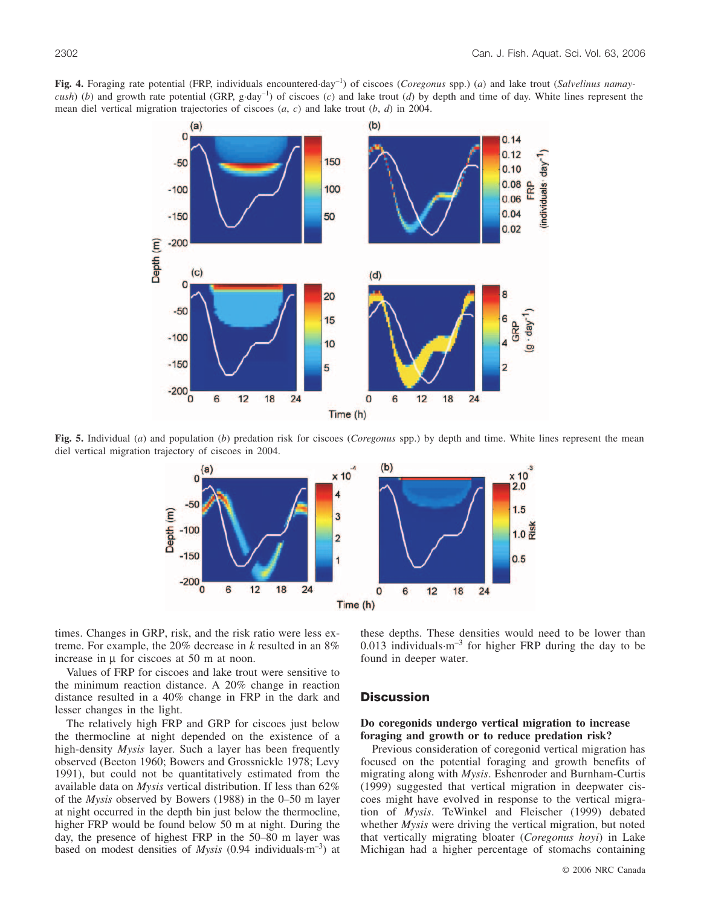

**Fig. 5.** Individual (*a*) and population (*b*) predation risk for ciscoes (*Coregonus* spp.) by depth and time. White lines represent the mean diel vertical migration trajectory of ciscoes in 2004.



times. Changes in GRP, risk, and the risk ratio were less extreme. For example, the 20% decrease in *k* resulted in an 8% increase in  $\mu$  for ciscoes at 50 m at noon.

Values of FRP for ciscoes and lake trout were sensitive to the minimum reaction distance. A 20% change in reaction distance resulted in a 40% change in FRP in the dark and lesser changes in the light.

The relatively high FRP and GRP for ciscoes just below the thermocline at night depended on the existence of a high-density *Mysis* layer. Such a layer has been frequently observed (Beeton 1960; Bowers and Grossnickle 1978; Levy 1991), but could not be quantitatively estimated from the available data on *Mysis* vertical distribution. If less than 62% of the *Mysis* observed by Bowers (1988) in the 0–50 m layer at night occurred in the depth bin just below the thermocline, higher FRP would be found below 50 m at night. During the day, the presence of highest FRP in the 50–80 m layer was based on modest densities of *Mysis* (0.94 individuals·m–3) at these depths. These densities would need to be lower than 0.013 individuals $\cdot$ m<sup>-3</sup> for higher FRP during the day to be found in deeper water.

## **Discussion**

## **Do coregonids undergo vertical migration to increase foraging and growth or to reduce predation risk?**

Previous consideration of coregonid vertical migration has focused on the potential foraging and growth benefits of migrating along with *Mysis*. Eshenroder and Burnham-Curtis (1999) suggested that vertical migration in deepwater ciscoes might have evolved in response to the vertical migration of *Mysis*. TeWinkel and Fleischer (1999) debated whether *Mysis* were driving the vertical migration, but noted that vertically migrating bloater (*Coregonus hoyi*) in Lake Michigan had a higher percentage of stomachs containing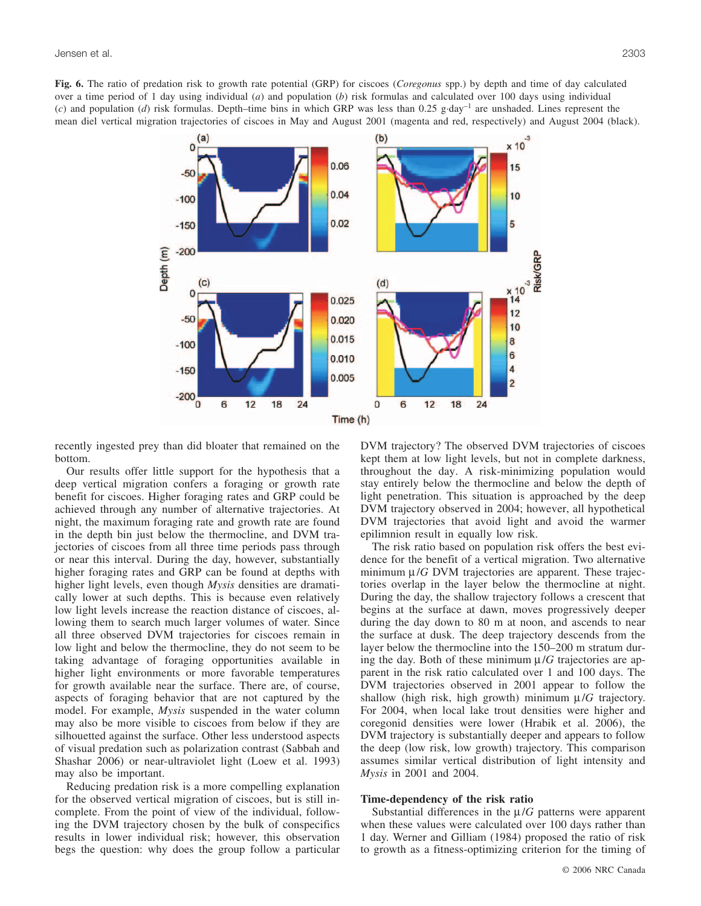**Fig. 6.** The ratio of predation risk to growth rate potential (GRP) for ciscoes (*Coregonus* spp.) by depth and time of day calculated over a time period of 1 day using individual (*a*) and population (*b*) risk formulas and calculated over 100 days using individual (*c*) and population (*d*) risk formulas. Depth–time bins in which GRP was less than 0.25 g·day<sup>-1</sup> are unshaded. Lines represent the mean diel vertical migration trajectories of ciscoes in May and August 2001 (magenta and red, respectively) and August 2004 (black).



recently ingested prey than did bloater that remained on the bottom.

Our results offer little support for the hypothesis that a deep vertical migration confers a foraging or growth rate benefit for ciscoes. Higher foraging rates and GRP could be achieved through any number of alternative trajectories. At night, the maximum foraging rate and growth rate are found in the depth bin just below the thermocline, and DVM trajectories of ciscoes from all three time periods pass through or near this interval. During the day, however, substantially higher foraging rates and GRP can be found at depths with higher light levels, even though *Mysis* densities are dramatically lower at such depths. This is because even relatively low light levels increase the reaction distance of ciscoes, allowing them to search much larger volumes of water. Since all three observed DVM trajectories for ciscoes remain in low light and below the thermocline, they do not seem to be taking advantage of foraging opportunities available in higher light environments or more favorable temperatures for growth available near the surface. There are, of course, aspects of foraging behavior that are not captured by the model. For example, *Mysis* suspended in the water column may also be more visible to ciscoes from below if they are silhouetted against the surface. Other less understood aspects of visual predation such as polarization contrast (Sabbah and Shashar 2006) or near-ultraviolet light (Loew et al. 1993) may also be important.

Reducing predation risk is a more compelling explanation for the observed vertical migration of ciscoes, but is still incomplete. From the point of view of the individual, following the DVM trajectory chosen by the bulk of conspecifics results in lower individual risk; however, this observation begs the question: why does the group follow a particular DVM trajectory? The observed DVM trajectories of ciscoes kept them at low light levels, but not in complete darkness, throughout the day. A risk-minimizing population would stay entirely below the thermocline and below the depth of light penetration. This situation is approached by the deep DVM trajectory observed in 2004; however, all hypothetical DVM trajectories that avoid light and avoid the warmer epilimnion result in equally low risk.

The risk ratio based on population risk offers the best evidence for the benefit of a vertical migration. Two alternative minimum  $\mu/G$  DVM trajectories are apparent. These trajectories overlap in the layer below the thermocline at night. During the day, the shallow trajectory follows a crescent that begins at the surface at dawn, moves progressively deeper during the day down to 80 m at noon, and ascends to near the surface at dusk. The deep trajectory descends from the layer below the thermocline into the 150–200 m stratum during the day. Both of these minimum  $\mu/G$  trajectories are apparent in the risk ratio calculated over 1 and 100 days. The DVM trajectories observed in 2001 appear to follow the shallow (high risk, high growth) minimum  $\mu/G$  trajectory. For 2004, when local lake trout densities were higher and coregonid densities were lower (Hrabik et al. 2006), the DVM trajectory is substantially deeper and appears to follow the deep (low risk, low growth) trajectory. This comparison assumes similar vertical distribution of light intensity and *Mysis* in 2001 and 2004.

#### **Time-dependency of the risk ratio**

Substantial differences in the  $\mu/G$  patterns were apparent when these values were calculated over 100 days rather than 1 day. Werner and Gilliam (1984) proposed the ratio of risk to growth as a fitness-optimizing criterion for the timing of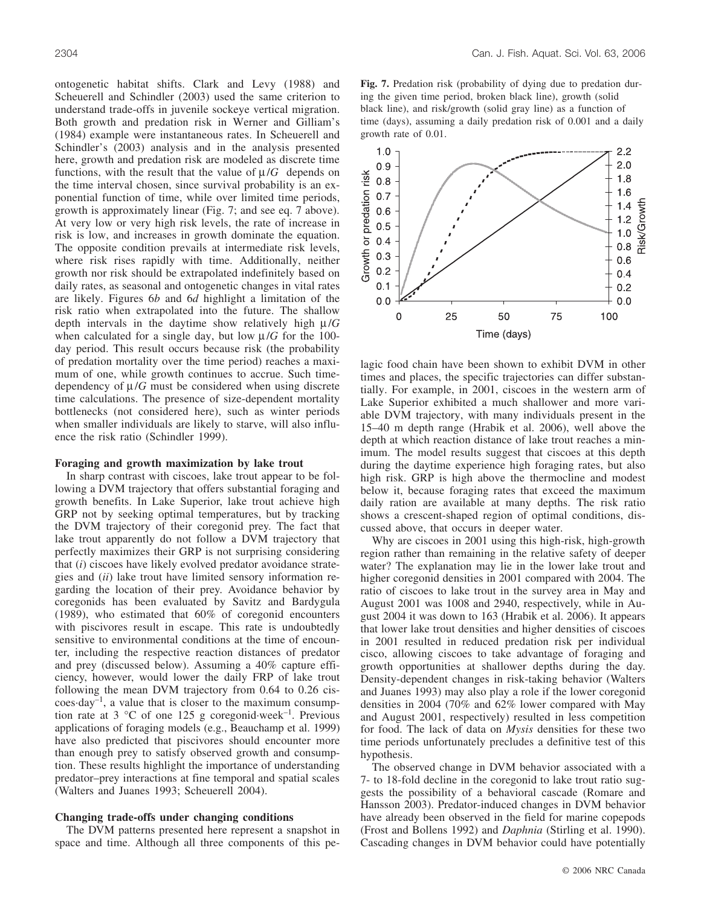ontogenetic habitat shifts. Clark and Levy (1988) and Scheuerell and Schindler (2003) used the same criterion to understand trade-offs in juvenile sockeye vertical migration. Both growth and predation risk in Werner and Gilliam's (1984) example were instantaneous rates. In Scheuerell and Schindler's (2003) analysis and in the analysis presented here, growth and predation risk are modeled as discrete time functions, with the result that the value of  $\mu/G$  depends on the time interval chosen, since survival probability is an exponential function of time, while over limited time periods, growth is approximately linear (Fig. 7; and see eq. 7 above). At very low or very high risk levels, the rate of increase in risk is low, and increases in growth dominate the equation. The opposite condition prevails at intermediate risk levels, where risk rises rapidly with time. Additionally, neither growth nor risk should be extrapolated indefinitely based on daily rates, as seasonal and ontogenetic changes in vital rates are likely. Figures 6*b* and 6*d* highlight a limitation of the risk ratio when extrapolated into the future. The shallow depth intervals in the daytime show relatively high µ/*G* when calculated for a single day, but low  $\mu/G$  for the 100day period. This result occurs because risk (the probability of predation mortality over the time period) reaches a maximum of one, while growth continues to accrue. Such timedependency of  $\mu/G$  must be considered when using discrete time calculations. The presence of size-dependent mortality bottlenecks (not considered here), such as winter periods when smaller individuals are likely to starve, will also influence the risk ratio (Schindler 1999).

### **Foraging and growth maximization by lake trout**

In sharp contrast with ciscoes, lake trout appear to be following a DVM trajectory that offers substantial foraging and growth benefits. In Lake Superior, lake trout achieve high GRP not by seeking optimal temperatures, but by tracking the DVM trajectory of their coregonid prey. The fact that lake trout apparently do not follow a DVM trajectory that perfectly maximizes their GRP is not surprising considering that (*i*) ciscoes have likely evolved predator avoidance strategies and (*ii*) lake trout have limited sensory information regarding the location of their prey. Avoidance behavior by coregonids has been evaluated by Savitz and Bardygula (1989), who estimated that 60% of coregonid encounters with piscivores result in escape. This rate is undoubtedly sensitive to environmental conditions at the time of encounter, including the respective reaction distances of predator and prey (discussed below). Assuming a 40% capture efficiency, however, would lower the daily FRP of lake trout following the mean DVM trajectory from 0.64 to 0.26 cis- $\cos \cdot \cos^{-1}$ , a value that is closer to the maximum consumption rate at 3  $\degree$ C of one 125 g coregonid-week<sup>-1</sup>. Previous applications of foraging models (e.g., Beauchamp et al. 1999) have also predicted that piscivores should encounter more than enough prey to satisfy observed growth and consumption. These results highlight the importance of understanding predator–prey interactions at fine temporal and spatial scales (Walters and Juanes 1993; Scheuerell 2004).

#### **Changing trade-offs under changing conditions**

The DVM patterns presented here represent a snapshot in space and time. Although all three components of this pe**Fig. 7.** Predation risk (probability of dying due to predation during the given time period, broken black line), growth (solid black line), and risk/growth (solid gray line) as a function of time (days), assuming a daily predation risk of 0.001 and a daily growth rate of 0.01.



lagic food chain have been shown to exhibit DVM in other times and places, the specific trajectories can differ substantially. For example, in 2001, ciscoes in the western arm of Lake Superior exhibited a much shallower and more variable DVM trajectory, with many individuals present in the 15–40 m depth range (Hrabik et al. 2006), well above the depth at which reaction distance of lake trout reaches a minimum. The model results suggest that ciscoes at this depth during the daytime experience high foraging rates, but also high risk. GRP is high above the thermocline and modest below it, because foraging rates that exceed the maximum daily ration are available at many depths. The risk ratio shows a crescent-shaped region of optimal conditions, discussed above, that occurs in deeper water.

Why are ciscoes in 2001 using this high-risk, high-growth region rather than remaining in the relative safety of deeper water? The explanation may lie in the lower lake trout and higher coregonid densities in 2001 compared with 2004. The ratio of ciscoes to lake trout in the survey area in May and August 2001 was 1008 and 2940, respectively, while in August 2004 it was down to 163 (Hrabik et al. 2006). It appears that lower lake trout densities and higher densities of ciscoes in 2001 resulted in reduced predation risk per individual cisco, allowing ciscoes to take advantage of foraging and growth opportunities at shallower depths during the day. Density-dependent changes in risk-taking behavior (Walters and Juanes 1993) may also play a role if the lower coregonid densities in 2004 (70% and 62% lower compared with May and August 2001, respectively) resulted in less competition for food. The lack of data on *Mysis* densities for these two time periods unfortunately precludes a definitive test of this hypothesis.

The observed change in DVM behavior associated with a 7- to 18-fold decline in the coregonid to lake trout ratio suggests the possibility of a behavioral cascade (Romare and Hansson 2003). Predator-induced changes in DVM behavior have already been observed in the field for marine copepods (Frost and Bollens 1992) and *Daphnia* (Stirling et al. 1990). Cascading changes in DVM behavior could have potentially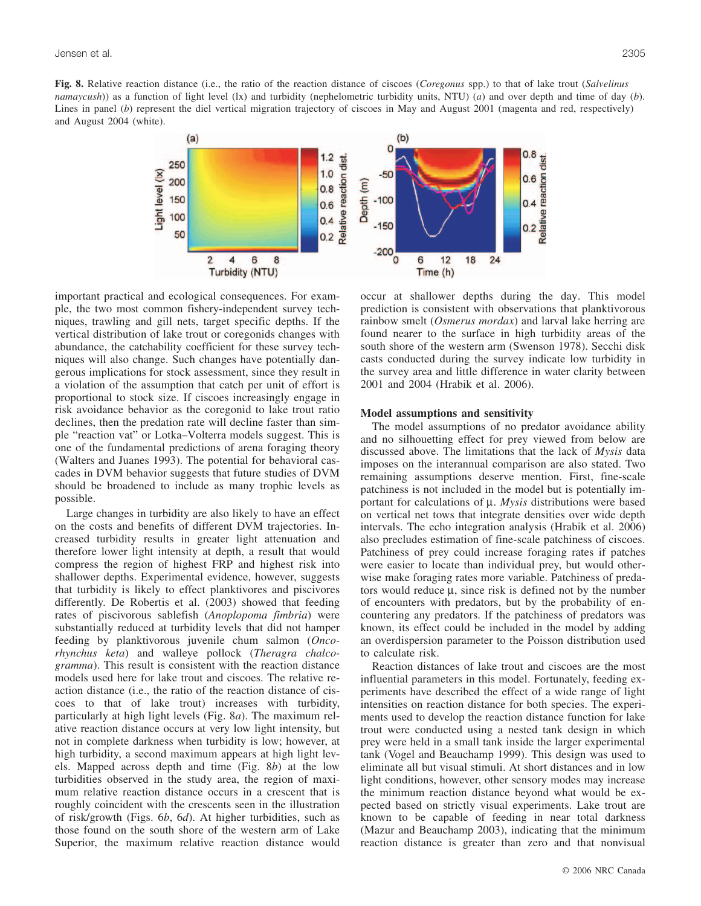**Fig. 8.** Relative reaction distance (i.e., the ratio of the reaction distance of ciscoes (*Coregonus* spp.) to that of lake trout (*Salvelinus namaycush*)) as a function of light level (lx) and turbidity (nephelometric turbidity units, NTU) (*a*) and over depth and time of day (*b*). Lines in panel (*b*) represent the diel vertical migration trajectory of ciscoes in May and August 2001 (magenta and red, respectively) and August 2004 (white).



important practical and ecological consequences. For example, the two most common fishery-independent survey techniques, trawling and gill nets, target specific depths. If the vertical distribution of lake trout or coregonids changes with abundance, the catchability coefficient for these survey techniques will also change. Such changes have potentially dangerous implications for stock assessment, since they result in a violation of the assumption that catch per unit of effort is proportional to stock size. If ciscoes increasingly engage in risk avoidance behavior as the coregonid to lake trout ratio declines, then the predation rate will decline faster than simple "reaction vat" or Lotka–Volterra models suggest. This is one of the fundamental predictions of arena foraging theory (Walters and Juanes 1993). The potential for behavioral cascades in DVM behavior suggests that future studies of DVM should be broadened to include as many trophic levels as possible.

Large changes in turbidity are also likely to have an effect on the costs and benefits of different DVM trajectories. Increased turbidity results in greater light attenuation and therefore lower light intensity at depth, a result that would compress the region of highest FRP and highest risk into shallower depths. Experimental evidence, however, suggests that turbidity is likely to effect planktivores and piscivores differently. De Robertis et al. (2003) showed that feeding rates of piscivorous sablefish (*Anoplopoma fimbria*) were substantially reduced at turbidity levels that did not hamper feeding by planktivorous juvenile chum salmon (*Oncorhynchus keta*) and walleye pollock (*Theragra chalcogramma*). This result is consistent with the reaction distance models used here for lake trout and ciscoes. The relative reaction distance (i.e., the ratio of the reaction distance of ciscoes to that of lake trout) increases with turbidity, particularly at high light levels (Fig. 8*a*). The maximum relative reaction distance occurs at very low light intensity, but not in complete darkness when turbidity is low; however, at high turbidity, a second maximum appears at high light levels. Mapped across depth and time (Fig. 8*b*) at the low turbidities observed in the study area, the region of maximum relative reaction distance occurs in a crescent that is roughly coincident with the crescents seen in the illustration of risk/growth (Figs. 6*b*, 6*d*). At higher turbidities, such as those found on the south shore of the western arm of Lake Superior, the maximum relative reaction distance would

occur at shallower depths during the day. This model prediction is consistent with observations that planktivorous rainbow smelt (*Osmerus mordax*) and larval lake herring are found nearer to the surface in high turbidity areas of the south shore of the western arm (Swenson 1978). Secchi disk casts conducted during the survey indicate low turbidity in the survey area and little difference in water clarity between 2001 and 2004 (Hrabik et al. 2006).

## **Model assumptions and sensitivity**

The model assumptions of no predator avoidance ability and no silhouetting effect for prey viewed from below are discussed above. The limitations that the lack of *Mysis* data imposes on the interannual comparison are also stated. Two remaining assumptions deserve mention. First, fine-scale patchiness is not included in the model but is potentially important for calculations of µ. *Mysis* distributions were based on vertical net tows that integrate densities over wide depth intervals. The echo integration analysis (Hrabik et al. 2006) also precludes estimation of fine-scale patchiness of ciscoes. Patchiness of prey could increase foraging rates if patches were easier to locate than individual prey, but would otherwise make foraging rates more variable. Patchiness of predators would reduce  $\mu$ , since risk is defined not by the number of encounters with predators, but by the probability of encountering any predators. If the patchiness of predators was known, its effect could be included in the model by adding an overdispersion parameter to the Poisson distribution used to calculate risk.

Reaction distances of lake trout and ciscoes are the most influential parameters in this model. Fortunately, feeding experiments have described the effect of a wide range of light intensities on reaction distance for both species. The experiments used to develop the reaction distance function for lake trout were conducted using a nested tank design in which prey were held in a small tank inside the larger experimental tank (Vogel and Beauchamp 1999). This design was used to eliminate all but visual stimuli. At short distances and in low light conditions, however, other sensory modes may increase the minimum reaction distance beyond what would be expected based on strictly visual experiments. Lake trout are known to be capable of feeding in near total darkness (Mazur and Beauchamp 2003), indicating that the minimum reaction distance is greater than zero and that nonvisual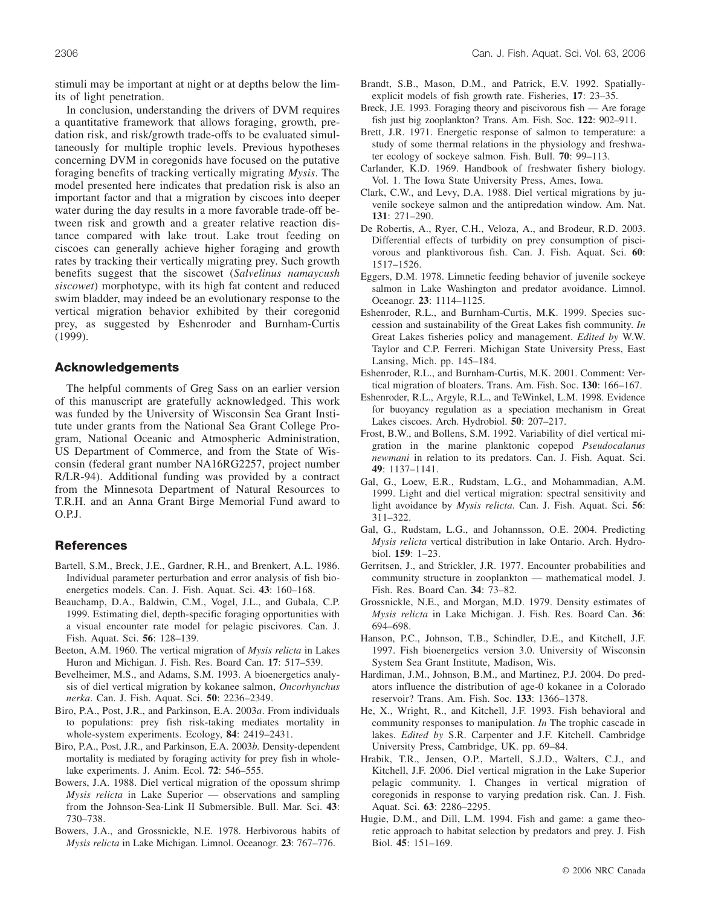stimuli may be important at night or at depths below the limits of light penetration.

In conclusion, understanding the drivers of DVM requires a quantitative framework that allows foraging, growth, predation risk, and risk/growth trade-offs to be evaluated simultaneously for multiple trophic levels. Previous hypotheses concerning DVM in coregonids have focused on the putative foraging benefits of tracking vertically migrating *Mysis*. The model presented here indicates that predation risk is also an important factor and that a migration by ciscoes into deeper water during the day results in a more favorable trade-off between risk and growth and a greater relative reaction distance compared with lake trout. Lake trout feeding on ciscoes can generally achieve higher foraging and growth rates by tracking their vertically migrating prey. Such growth benefits suggest that the siscowet (*Salvelinus namaycush siscowet*) morphotype, with its high fat content and reduced swim bladder, may indeed be an evolutionary response to the vertical migration behavior exhibited by their coregonid prey, as suggested by Eshenroder and Burnham-Curtis (1999).

## **Acknowledgements**

The helpful comments of Greg Sass on an earlier version of this manuscript are gratefully acknowledged. This work was funded by the University of Wisconsin Sea Grant Institute under grants from the National Sea Grant College Program, National Oceanic and Atmospheric Administration, US Department of Commerce, and from the State of Wisconsin (federal grant number NA16RG2257, project number R/LR-94). Additional funding was provided by a contract from the Minnesota Department of Natural Resources to T.R.H. and an Anna Grant Birge Memorial Fund award to O.P.J.

# **References**

- Bartell, S.M., Breck, J.E., Gardner, R.H., and Brenkert, A.L. 1986. Individual parameter perturbation and error analysis of fish bioenergetics models. Can. J. Fish. Aquat. Sci. **43**: 160–168.
- Beauchamp, D.A., Baldwin, C.M., Vogel, J.L., and Gubala, C.P. 1999. Estimating diel, depth-specific foraging opportunities with a visual encounter rate model for pelagic piscivores. Can. J. Fish. Aquat. Sci. **56**: 128–139.
- Beeton, A.M. 1960. The vertical migration of *Mysis relicta* in Lakes Huron and Michigan. J. Fish. Res. Board Can. **17**: 517–539.
- Bevelheimer, M.S., and Adams, S.M. 1993. A bioenergetics analysis of diel vertical migration by kokanee salmon, *Oncorhynchus nerka*. Can. J. Fish. Aquat. Sci. **50**: 2236–2349.
- Biro, P.A., Post, J.R., and Parkinson, E.A. 2003*a*. From individuals to populations: prey fish risk-taking mediates mortality in whole-system experiments. Ecology, **84**: 2419–2431.
- Biro, P.A., Post, J.R., and Parkinson, E.A. 2003*b*. Density-dependent mortality is mediated by foraging activity for prey fish in wholelake experiments. J. Anim. Ecol. **72**: 546–555.
- Bowers, J.A. 1988. Diel vertical migration of the opossum shrimp *Mysis relicta* in Lake Superior — observations and sampling from the Johnson-Sea-Link II Submersible. Bull. Mar. Sci. **43**: 730–738.
- Bowers, J.A., and Grossnickle, N.E. 1978. Herbivorous habits of *Mysis relicta* in Lake Michigan. Limnol. Oceanogr. **23**: 767–776.
- Brandt, S.B., Mason, D.M., and Patrick, E.V. 1992. Spatiallyexplicit models of fish growth rate. Fisheries, **17**: 23–35.
- Breck, J.E. 1993. Foraging theory and piscivorous fish Are forage fish just big zooplankton? Trans. Am. Fish. Soc. **122**: 902–911.
- Brett, J.R. 1971. Energetic response of salmon to temperature: a study of some thermal relations in the physiology and freshwater ecology of sockeye salmon. Fish. Bull. **70**: 99–113.
- Carlander, K.D. 1969. Handbook of freshwater fishery biology. Vol. 1. The Iowa State University Press, Ames, Iowa.
- Clark, C.W., and Levy, D.A. 1988. Diel vertical migrations by juvenile sockeye salmon and the antipredation window. Am. Nat. **131**: 271–290.
- De Robertis, A., Ryer, C.H., Veloza, A., and Brodeur, R.D. 2003. Differential effects of turbidity on prey consumption of piscivorous and planktivorous fish. Can. J. Fish. Aquat. Sci. **60**: 1517–1526.
- Eggers, D.M. 1978. Limnetic feeding behavior of juvenile sockeye salmon in Lake Washington and predator avoidance. Limnol. Oceanogr. **23**: 1114–1125.
- Eshenroder, R.L., and Burnham-Curtis, M.K. 1999. Species succession and sustainability of the Great Lakes fish community. *In* Great Lakes fisheries policy and management. *Edited by* W.W. Taylor and C.P. Ferreri. Michigan State University Press, East Lansing, Mich. pp. 145–184.
- Eshenroder, R.L., and Burnham-Curtis, M.K. 2001. Comment: Vertical migration of bloaters. Trans. Am. Fish. Soc. **130**: 166–167.
- Eshenroder, R.L., Argyle, R.L., and TeWinkel, L.M. 1998. Evidence for buoyancy regulation as a speciation mechanism in Great Lakes ciscoes. Arch. Hydrobiol. **50**: 207–217.
- Frost, B.W., and Bollens, S.M. 1992. Variability of diel vertical migration in the marine planktonic copepod *Pseudocalanus newmani* in relation to its predators. Can. J. Fish. Aquat. Sci. **49**: 1137–1141.
- Gal, G., Loew, E.R., Rudstam, L.G., and Mohammadian, A.M. 1999. Light and diel vertical migration: spectral sensitivity and light avoidance by *Mysis relicta*. Can. J. Fish. Aquat. Sci. **56**: 311–322.
- Gal, G., Rudstam, L.G., and Johannsson, O.E. 2004. Predicting *Mysis relicta* vertical distribution in lake Ontario. Arch. Hydrobiol. **159**: 1–23.
- Gerritsen, J., and Strickler, J.R. 1977. Encounter probabilities and community structure in zooplankton — mathematical model. J. Fish. Res. Board Can. **34**: 73–82.
- Grossnickle, N.E., and Morgan, M.D. 1979. Density estimates of *Mysis relicta* in Lake Michigan. J. Fish. Res. Board Can. **36**: 694–698.
- Hanson, P.C., Johnson, T.B., Schindler, D.E., and Kitchell, J.F. 1997. Fish bioenergetics version 3.0. University of Wisconsin System Sea Grant Institute, Madison, Wis.
- Hardiman, J.M., Johnson, B.M., and Martinez, P.J. 2004. Do predators influence the distribution of age-0 kokanee in a Colorado reservoir? Trans. Am. Fish. Soc. **133**: 1366–1378.
- He, X., Wright, R., and Kitchell, J.F. 1993. Fish behavioral and community responses to manipulation. *In* The trophic cascade in lakes. *Edited by* S.R. Carpenter and J.F. Kitchell. Cambridge University Press, Cambridge, UK. pp. 69–84.
- Hrabik, T.R., Jensen, O.P., Martell, S.J.D., Walters, C.J., and Kitchell, J.F. 2006. Diel vertical migration in the Lake Superior pelagic community. I. Changes in vertical migration of coregonids in response to varying predation risk. Can. J. Fish. Aquat. Sci. **63**: 2286–2295.
- Hugie, D.M., and Dill, L.M. 1994. Fish and game: a game theoretic approach to habitat selection by predators and prey. J. Fish Biol. **45**: 151–169.